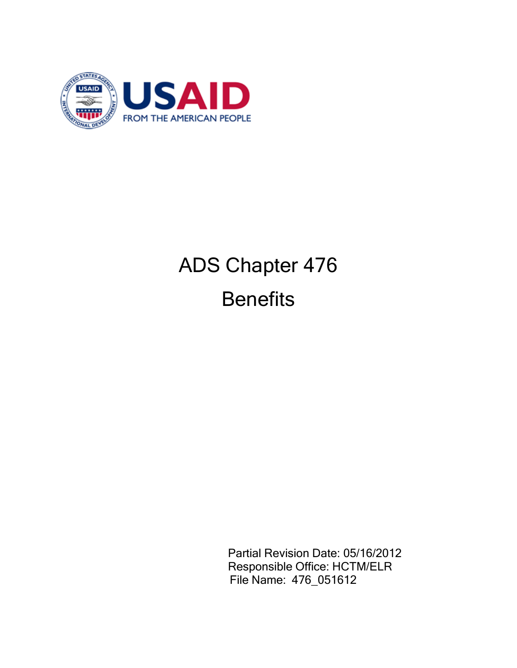

# ADS Chapter 476 **Benefits**

Partial Revision Date: 05/16/2012 Responsible Office: HCTM/ELR File Name: 476\_051612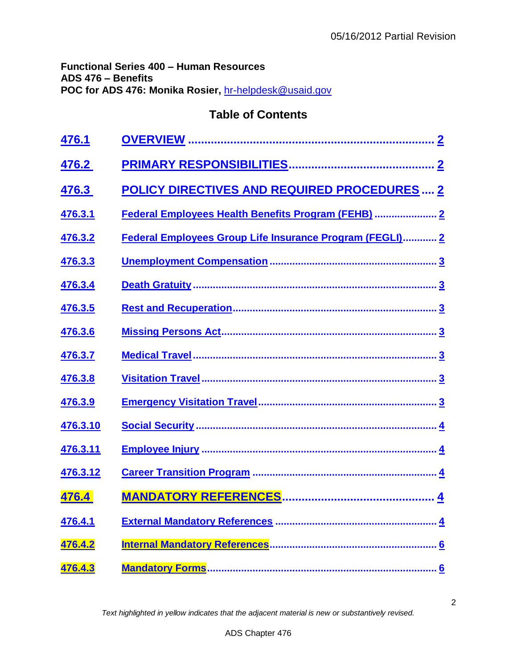## **Functional Series 400 – Human Resources ADS 476 – Benefits POC for ADS 476: Monika Rosier,** [hr-helpdesk@usaid.gov](mailto:hr-helpdesk@usaid.gov)

## **Table of Contents**

| 476.1           |                                                          |
|-----------------|----------------------------------------------------------|
| 476.2           |                                                          |
| 476.3           | <b>POLICY DIRECTIVES AND REQUIRED PROCEDURES  2</b>      |
| 476.3.1         | Federal Employees Health Benefits Program (FEHB)  2      |
| 476.3.2         | Federal Employees Group Life Insurance Program (FEGLI) 2 |
| 476.3.3         |                                                          |
| 476.3.4         |                                                          |
| 476.3.5         |                                                          |
| 476.3.6         |                                                          |
| 476.3.7         |                                                          |
| 476.3.8         |                                                          |
| 476.3.9         |                                                          |
| <u>476.3.10</u> |                                                          |
| 476.3.11        |                                                          |
| 476.3.12        |                                                          |
| 476.4           |                                                          |
| 476.4.1         |                                                          |
| 476.4.2         |                                                          |
| 476.4.3         |                                                          |

*Text highlighted in yellow indicates that the adjacent material is new or substantively revised.*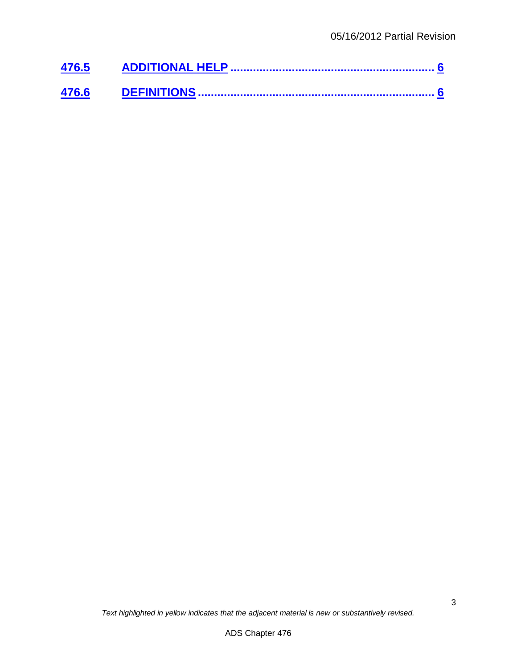| 476.5 |  |
|-------|--|
| 476.6 |  |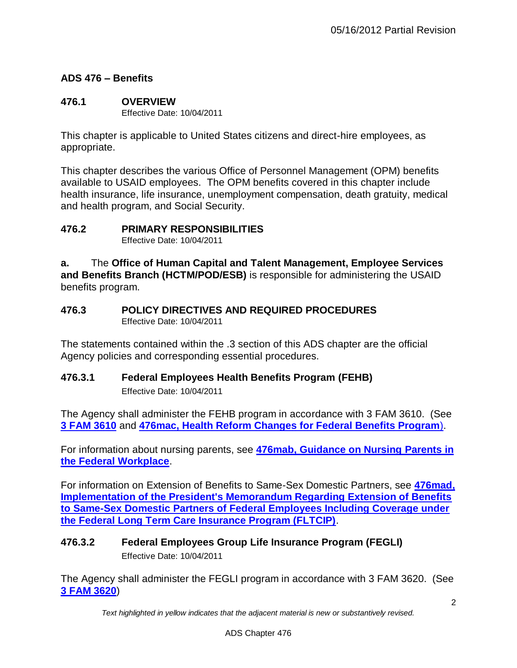## **ADS 476 – Benefits**

#### <span id="page-3-0"></span>**476.1 OVERVIEW** Effective Date: 10/04/2011

This chapter is applicable to United States citizens and direct-hire employees, as appropriate.

This chapter describes the various Office of Personnel Management (OPM) benefits available to USAID employees. The OPM benefits covered in this chapter include health insurance, life insurance, unemployment compensation, death gratuity, medical and health program, and Social Security.

#### <span id="page-3-1"></span>**476.2 PRIMARY RESPONSIBILITIES**

Effective Date: 10/04/2011

**a.** The **Office of Human Capital and Talent Management, Employee Services and Benefits Branch (HCTM/POD/ESB)** is responsible for administering the USAID benefits program.

#### <span id="page-3-2"></span>**476.3 POLICY DIRECTIVES AND REQUIRED PROCEDURES** Effective Date: 10/04/2011

The statements contained within the .3 section of this ADS chapter are the official Agency policies and corresponding essential procedures.

## <span id="page-3-3"></span>**476.3.1 Federal Employees Health Benefits Program (FEHB)**

Effective Date: 10/04/2011

The Agency shall administer the FEHB program in accordance with 3 FAM 3610. (See **[3 FAM 3610](http://www.state.gov/m/a/dir/regs/fam/03fam/3600/index.htm)** and **[476mac, Health Reform Changes for Federal Benefits Program](http://www.usaid.gov/ads/policy/400/476mac)**).

For information about nursing parents, see **[476mab, Guidance on Nursing Parents](http://www.usaid.gov/ads/policy/400/476mab) in [the Federal Workplace](http://www.usaid.gov/ads/policy/400/476mab)**.

For information on Extension of Benefits to Same-Sex Domestic Partners, see **476mad, [Implementation of the President's Memorandum Regarding Extension of Benefits](http://www.usaid.gov/ads/policy/400/476mad)  [to Same-Sex Domestic Partners of Federal Employees Including Coverage under](http://www.usaid.gov/ads/policy/400/476mad)  [the Federal Long Term Care Insurance Program \(FLTCIP\)](http://www.usaid.gov/ads/policy/400/476mad)**.

## <span id="page-3-4"></span>**476.3.2 Federal Employees Group Life Insurance Program (FEGLI)** Effective Date: 10/04/2011

The Agency shall administer the FEGLI program in accordance with 3 FAM 3620. (See **[3 FAM 3620](http://www.state.gov/m/a/dir/regs/fam/03fam/3600/index.htm)**)

*Text highlighted in yellow indicates that the adjacent material is new or substantively revised.*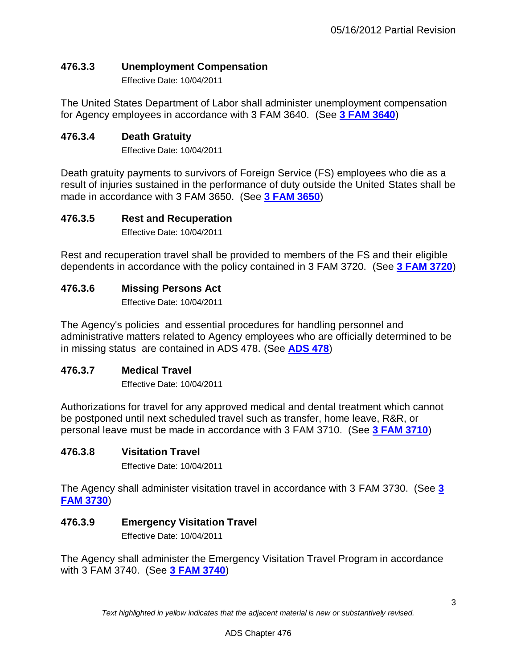## <span id="page-4-0"></span>**476.3.3 Unemployment Compensation**

Effective Date: 10/04/2011

The United States Department of Labor shall administer unemployment compensation for Agency employees in accordance with 3 FAM 3640. (See **[3 FAM 3640](http://www.state.gov/m/a/dir/regs/fam/03fam/3600/index.htm)**)

#### <span id="page-4-1"></span>**476.3.4 Death Gratuity**

Effective Date: 10/04/2011

Death gratuity payments to survivors of Foreign Service (FS) employees who die as a result of injuries sustained in the performance of duty outside the United States shall be made in accordance with 3 FAM 3650. (See **[3 FAM 3650](http://www.state.gov/m/a/dir/regs/fam/03fam/3600/index.htm)**)

#### <span id="page-4-2"></span>**476.3.5 Rest and Recuperation**

Effective Date: 10/04/2011

Rest and recuperation travel shall be provided to members of the FS and their eligible dependents in accordance with the policy contained in 3 FAM 3720. (See **[3 FAM 3720](http://www.state.gov/m/a/dir/regs/fam/03fam/3700/index.htm)**)

#### <span id="page-4-3"></span>**476.3.6 Missing Persons Act**

Effective Date: 10/04/2011

The Agency's policies and essential procedures for handling personnel and administrative matters related to Agency employees who are officially determined to be in missing status are contained in ADS 478. (See **[ADS 478](http://www.usaid.gov/ads/policy/400/478)**)

#### <span id="page-4-4"></span>**476.3.7 Medical Travel**

Effective Date: 10/04/2011

Authorizations for travel for any approved medical and dental treatment which cannot be postponed until next scheduled travel such as transfer, home leave, R&R, or personal leave must be made in accordance with 3 FAM 3710. (See **[3 FAM 3710](http://www.state.gov/m/a/dir/regs/fam/03fam/3700/index.htm)**)

#### <span id="page-4-5"></span>**476.3.8 Visitation Travel**

Effective Date: 10/04/2011

The Agency shall administer visitation travel in accordance with 3 FAM 3730. (See **[3](http://www.state.gov/m/a/dir/regs/fam/03fam/3700/index.htm)  [FAM 3730](http://www.state.gov/m/a/dir/regs/fam/03fam/3700/index.htm)**)

#### <span id="page-4-6"></span>**476.3.9 Emergency Visitation Travel**

Effective Date: 10/04/2011

The Agency shall administer the Emergency Visitation Travel Program in accordance with 3 FAM 3740. (See **[3 FAM 3740](http://www.state.gov/m/a/dir/regs/fam/03fam/3700/index.htm)**)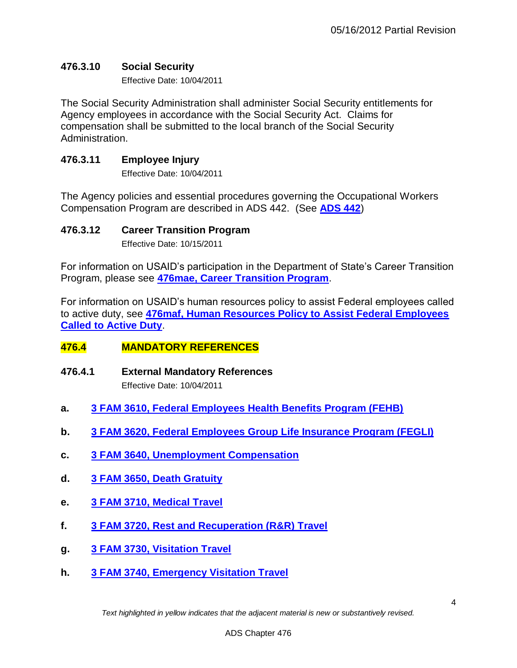## <span id="page-5-0"></span>**476.3.10 Social Security**

Effective Date: 10/04/2011

The Social Security Administration shall administer Social Security entitlements for Agency employees in accordance with the Social Security Act. Claims for compensation shall be submitted to the local branch of the Social Security Administration.

## <span id="page-5-1"></span>**476.3.11 Employee Injury**

Effective Date: 10/04/2011

The Agency policies and essential procedures governing the Occupational Workers Compensation Program are described in ADS 442. (See **[ADS 442](http://www.usaid.gov/ads/policy/400/442)**)

## <span id="page-5-2"></span>**476.3.12 Career Transition Program**

Effective Date: 10/15/2011

For information on USAID's participation in the Department of State's Career Transition Program, please see **[476mae, Career Transition Program](http://www.usaid.gov/ads/policy/400/476mae)**.

For information on USAID's human resources policy to assist Federal employees called to active duty, see **[476maf, Human Resources Policy to Assist Federal Employees](http://www.usaid.gov/ads/policy/400/476maf)  [Called to Active Duty](http://www.usaid.gov/ads/policy/400/476maf)**.

## <span id="page-5-3"></span>**476.4 MANDATORY REFERENCES**

<span id="page-5-4"></span>**476.4.1 External Mandatory References**

Effective Date: 10/04/2011

- **a. [3 FAM 3610, Federal Employees Health Benefits Program \(FEHB\)](http://www.state.gov/m/a/dir/regs/fam/03fam/3600/index.htm)**
- **b. [3 FAM 3620, Federal Employees Group Life Insurance Program \(FEGLI\)](http://www.state.gov/m/a/dir/regs/fam/03fam/3600/index.htm)**
- **c. 3 FAM 3640, [Unemployment Compensation](http://www.state.gov/m/a/dir/regs/fam/03fam/3600/index.htm)**
- **d. 3 FAM 3650, [Death Gratuity](http://www.state.gov/m/a/dir/regs/fam/03fam/3600/index.htm)**
- **e. 3 FAM 3710, [Medical Travel](http://www.state.gov/m/a/dir/regs/fam/03fam/3700/index.htm)**
- **f. 3 FAM 3720, [Rest and Recuperation \(R&R\) Travel](http://www.state.gov/m/a/dir/regs/fam/03fam/3700/index.htm)**
- **g. 3 FAM 3730, [Visitation Travel](http://www.state.gov/m/a/dir/regs/fam/03fam/3700/index.htm)**
- **h. 3 FAM 3740, [Emergency Visitation Travel](http://www.state.gov/m/a/dir/regs/fam/03fam/3700/index.htm)**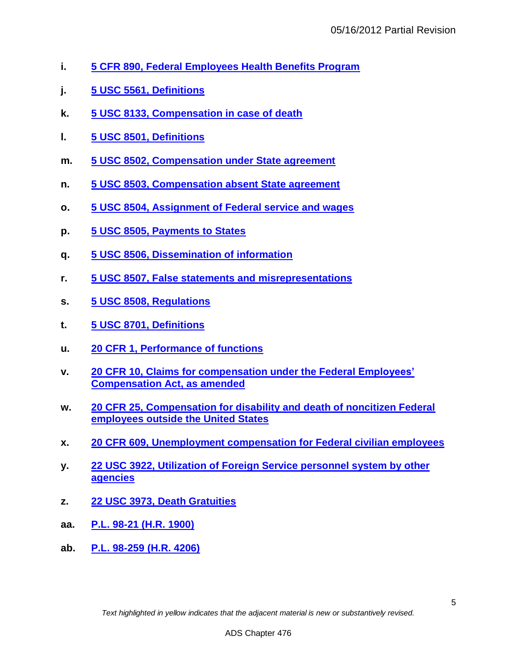- **i. [5 CFR 890, Federal Employees Health Benefits Program](http://www.gpo.gov/fdsys/pkg/CFR-2007-title5-vol2/pdf/CFR-2007-title5-vol2-part890.pdf)**
- **j. [5 USC 5561, Definitions](http://uscode.house.gov/)**
- **k. [5 USC 8133, Compensation in case of death](http://uscode.house.gov/)**
- **l. [5 USC 8501, Definitions](http://uscode.house.gov/)**
- **m. [5 USC 8502, Compensation under State agreement](http://uscode.house.gov/)**
- **n. [5 USC 8503, Compensation absent State agreement](http://uscode.house.gov/)**
- **o. [5 USC 8504, Assignment of Federal service and wages](http://uscode.house.gov/)**
- **p. [5 USC 8505, Payments to States](http://uscode.house.gov/)**
- **q. [5 USC 8506, Dissemination of information](http://uscode.house.gov/)**
- **r. [5 USC 8507, False statements and misrepresentations](http://uscode.house.gov/)**
- **s. [5 USC 8508, Regulations](http://uscode.house.gov/)**
- **t. [5 USC 8701, Definitions](http://uscode.house.gov/)**
- **u. [20 CFR 1, Performance of functions](http://www.gpo.gov/fdsys/pkg/CFR-1999-title20-vol1/pdf/CFR-1999-title20-vol1-part1.pdf)**
- **v. [20 CFR 10, Claims for compensation under the Federal Employees'](http://www.gpo.gov/fdsys/pkg/CFR-1999-title20-vol1/pdf/CFR-1999-title20-vol1-part10.pdf)  [Compensation Act, as amended](http://www.gpo.gov/fdsys/pkg/CFR-1999-title20-vol1/pdf/CFR-1999-title20-vol1-part10.pdf)**
- **w. [20 CFR 25, Compensation for disability and death of noncitizen Federal](http://www.gpo.gov/fdsys/pkg/CFR-1999-title20-vol1/pdf/CFR-1999-title20-vol1-part25.pdf)  [employees outside the United States](http://www.gpo.gov/fdsys/pkg/CFR-1999-title20-vol1/pdf/CFR-1999-title20-vol1-part25.pdf)**
- **x. [20 CFR 609, Unemployment compensation for Federal civilian employees](http://www.gpo.gov/fdsys/pkg/CFR-2012-title20-vol3/pdf/CFR-2012-title20-vol3-part609.pdf)**
- **y. [22 USC 3922, Utilization of Foreign Service personnel system by other](http://uscode.house.gov/)  [agencies](http://uscode.house.gov/)**
- **z. [22 USC 3973, Death Gratuities](http://uscode.house.gov/)**
- **aa. [P.L. 98-21 \(H.R. 1900\)](http://thomas.loc.gov/cgi-bin/bdquery/z?d098:HR01900:|TOM:/bss/d098query.html|)**
- <span id="page-6-0"></span>**ab. P.L. 98-259 [\(H.R. 4206\)](http://thomas.loc.gov/cgi-bin/bdquery/z?d098:HR04206:|TOM:/bss/d098query.html|)**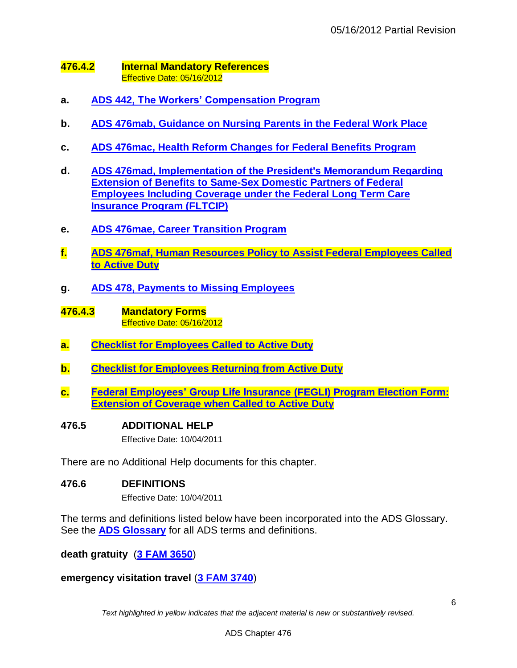#### **476.4.2 Internal Mandatory References** Effective Date: 05/16/2012

- **a. [ADS 442, The Workers' Compensation Program](http://www.usaid.gov/ads/policy/400/442)**
- **b. [ADS 476mab, Guidance on Nursing Parents](http://www.usaid.gov/ads/policy/400/476mab) in the Federal Work Place**
- **c. ADS 476mac, Health Reform [Changes for Federal Benefits Program](http://www.usaid.gov/ads/policy/400/476mac)**
- **d. [ADS 476mad, Implementation of the President's Memorandum Regarding](http://www.usaid.gov/ads/policy/400/476mad)  [Extension of Benefits to Same-Sex Domestic Partners of Federal](http://www.usaid.gov/ads/policy/400/476mad)  [Employees Including Coverage under the Federal Long Term Care](http://www.usaid.gov/ads/policy/400/476mad)  [Insurance Program \(FLTCIP\)](http://www.usaid.gov/ads/policy/400/476mad)**
- **e. [ADS 476mae, Career Transition Program](http://www.usaid.gov/ads/policy/400/476mae)**
- **f. [ADS 476maf, Human Resources Policy to Assist Federal Employees Called](http://www.usaid.gov/ads/policy/400/476maf)  [to Active Duty](http://www.usaid.gov/ads/policy/400/476maf)**
- <span id="page-7-0"></span>**g. [ADS 478, Payments to Missing Employees](http://www.usaid.gov/ads/policy/400/478)**
- **476.4.3 Mandatory Forms** Effective Date: 05/16/2012
- **a. [Checklist for Employees Called to Active Duty](http://www.usaid.gov/forms)**
- **b. [Checklist for Employees Returning from Active Duty](http://www.usaid.gov/forms)**
- **c. [Federal Employees' Group Life Insurance](http://www.usaid.gov/forms) (FEGLI) Program Election Form: [Extension of Coverage when Called to Active Duty](http://www.usaid.gov/forms)**

#### <span id="page-7-1"></span>**476.5 ADDITIONAL HELP**

Effective Date: 10/04/2011

There are no Additional Help documents for this chapter.

#### <span id="page-7-2"></span>**476.6 DEFINITIONS**

Effective Date: 10/04/2011

The terms and definitions listed below have been incorporated into the ADS Glossary. See the **[ADS Glossary](http://www.usaid.gov/ads/policy/glossary)** for all ADS terms and definitions.

**death gratuity** (**[3 FAM 3650](http://www.state.gov/m/a/dir/regs/fam/03fam/3600/index.htm)**)

**emergency visitation travel** (**[3 FAM 3740](http://www.state.gov/m/a/dir/regs/fam/03fam/3700/index.htm)**)